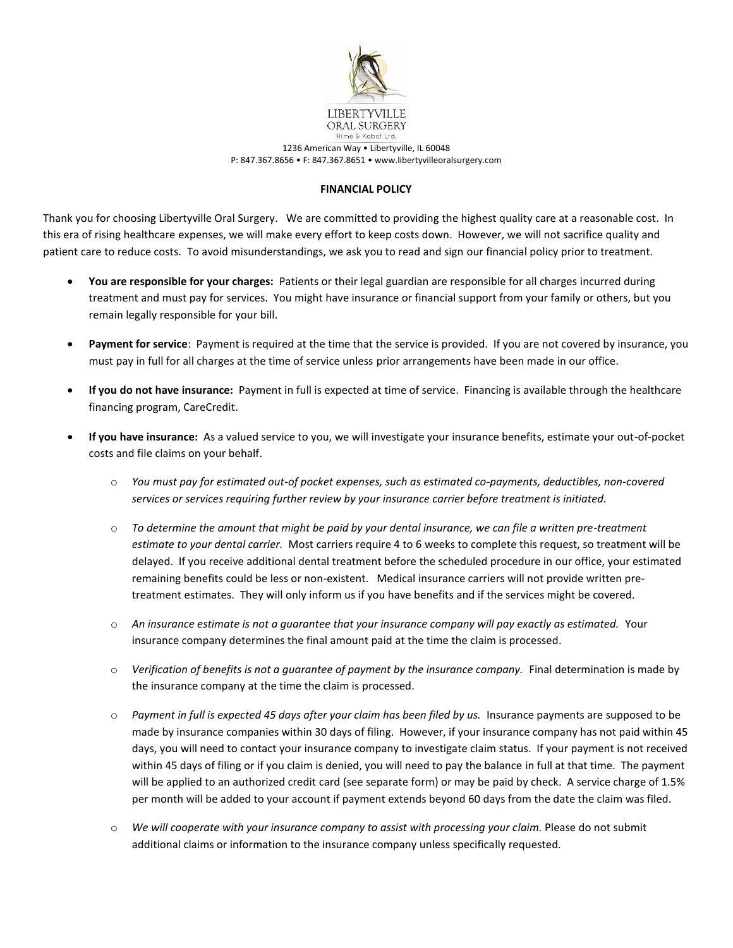

1236 American Way • Libertyville, IL 60048 P: 847.367.8656 • F: 847.367.8651 • www.libertyvilleoralsurgery.com

## **FINANCIAL POLICY**

Thank you for choosing Libertyville Oral Surgery. We are committed to providing the highest quality care at a reasonable cost. In this era of rising healthcare expenses, we will make every effort to keep costs down. However, we will not sacrifice quality and patient care to reduce costs. To avoid misunderstandings, we ask you to read and sign our financial policy prior to treatment.

- **You are responsible for your charges:** Patients or their legal guardian are responsible for all charges incurred during treatment and must pay for services. You might have insurance or financial support from your family or others, but you remain legally responsible for your bill.
- **Payment for service**: Payment is required at the time that the service is provided. If you are not covered by insurance, you must pay in full for all charges at the time of service unless prior arrangements have been made in our office.
- **If you do not have insurance:** Payment in full is expected at time of service. Financing is available through the healthcare financing program, CareCredit.
- **If you have insurance:** As a valued service to you, we will investigate your insurance benefits, estimate your out-of-pocket costs and file claims on your behalf.
	- o *You must pay for estimated out-of pocket expenses, such as estimated co-payments, deductibles, non-covered services or services requiring further review by your insurance carrier before treatment is initiated.*
	- o *To determine the amount that might be paid by your dental insurance, we can file a written pre-treatment estimate to your dental carrier.* Most carriers require 4 to 6 weeks to complete this request, so treatment will be delayed. If you receive additional dental treatment before the scheduled procedure in our office, your estimated remaining benefits could be less or non-existent. Medical insurance carriers will not provide written pretreatment estimates. They will only inform us if you have benefits and if the services might be covered.
	- o *An insurance estimate is not a guarantee that your insurance company will pay exactly as estimated.* Your insurance company determines the final amount paid at the time the claim is processed.
	- o *Verification of benefits is not a guarantee of payment by the insurance company.* Final determination is made by the insurance company at the time the claim is processed.
	- o *Payment in full is expected 45 days after your claim has been filed by us.* Insurance payments are supposed to be made by insurance companies within 30 days of filing. However, if your insurance company has not paid within 45 days, you will need to contact your insurance company to investigate claim status. If your payment is not received within 45 days of filing or if you claim is denied, you will need to pay the balance in full at that time. The payment will be applied to an authorized credit card (see separate form) or may be paid by check. A service charge of 1.5% per month will be added to your account if payment extends beyond 60 days from the date the claim was filed.
	- o *We will cooperate with your insurance company to assist with processing your claim.* Please do not submit additional claims or information to the insurance company unless specifically requested.